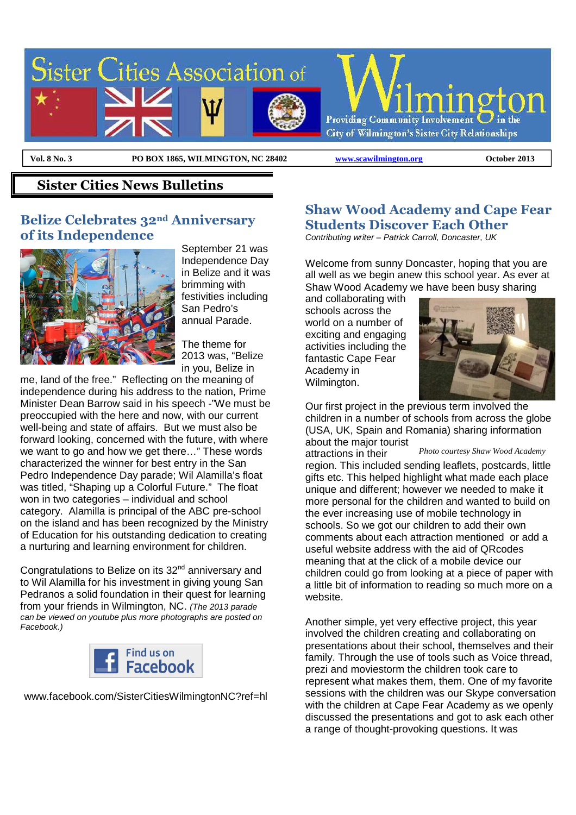

 $\overline{a}$ 

**Vol. 8 No. 3 PO BOX 1865, WILMINGTON, NC 28402 www.scawilmington.org October 2013**

#### **Sister Cities News Bulletins**

#### **Belize Celebrates 32nd Anniversary of its Independence**



September 21 was Independence Day in Belize and it was brimming with festivities including San Pedro's annual Parade.

The theme for 2013 was, "Belize in you, Belize in

me, land of the free." Reflecting on the meaning of independence during his address to the nation, Prime Minister Dean Barrow said in his speech -"We must be preoccupied with the here and now, with our current well-being and state of affairs. But we must also be forward looking, concerned with the future, with where we want to go and how we get there…" These words characterized the winner for best entry in the San Pedro Independence Day parade; Wil Alamilla's float was titled, "Shaping up a Colorful Future." The float won in two categories – individual and school category. Alamilla is principal of the ABC pre-school on the island and has been recognized by the Ministry of Education for his outstanding dedication to creating a nurturing and learning environment for children.

Congratulations to Belize on its  $32<sup>nd</sup>$  anniversary and to Wil Alamilla for his investment in giving young San Pedranos a solid foundation in their quest for learning from your friends in Wilmington, NC. (The 2013 parade can be viewed on youtube plus more photographs are posted on Facebook.)



www.facebook.com/SisterCitiesWilmingtonNC?ref=hl

#### **Shaw Wood Academy and Cape Fear Students Discover Each Other**

Contributing writer – Patrick Carroll, Doncaster, UK

Welcome from sunny Doncaster, hoping that you are all well as we begin anew this school year. As ever at Shaw Wood Academy we have been busy sharing

and collaborating with schools across the world on a number of exciting and engaging activities including the fantastic Cape Fear Academy in Wilmington.



Our first project in the previous term involved the children in a number of schools from across the globe (USA, UK, Spain and Romania) sharing information about the major tourist

attractions in their

*Photo courtesy Shaw Wood Academy* 

region. This included sending leaflets, postcards, little gifts etc. This helped highlight what made each place unique and different; however we needed to make it more personal for the children and wanted to build on the ever increasing use of mobile technology in schools. So we got our children to add their own comments about each attraction mentioned or add a useful website address with the aid of QRcodes meaning that at the click of a mobile device our children could go from looking at a piece of paper with a little bit of information to reading so much more on a website.

Another simple, yet very effective project, this year involved the children creating and collaborating on presentations about their school, themselves and their family. Through the use of tools such as Voice thread, prezi and moviestorm the children took care to represent what makes them, them. One of my favorite sessions with the children was our Skype conversation with the children at Cape Fear Academy as we openly discussed the presentations and got to ask each other a range of thought-provoking questions. It was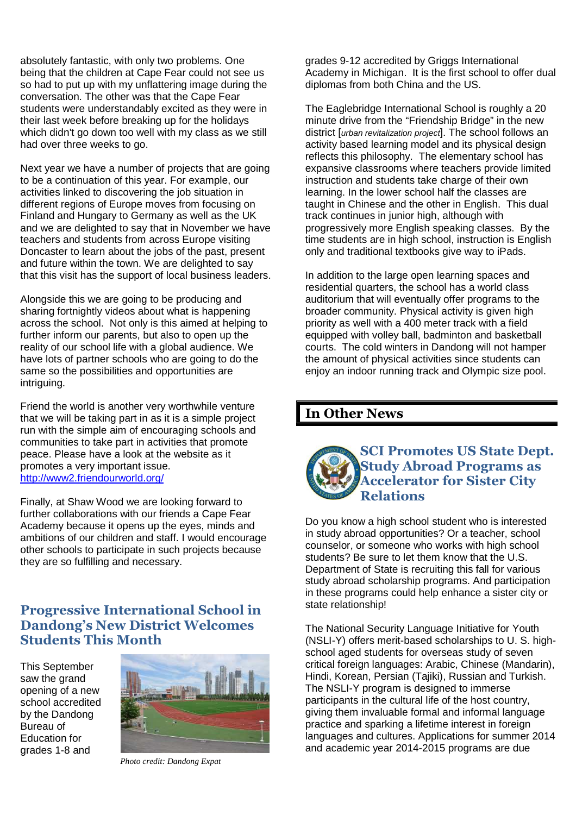absolutely fantastic, with only two problems. One being that the children at Cape Fear could not see us so had to put up with my unflattering image during the conversation. The other was that the Cape Fear students were understandably excited as they were in their last week before breaking up for the holidays which didn't go down too well with my class as we still had over three weeks to go.

Next year we have a number of projects that are going to be a continuation of this year. For example, our activities linked to discovering the job situation in different regions of Europe moves from focusing on Finland and Hungary to Germany as well as the UK and we are delighted to say that in November we have teachers and students from across Europe visiting Doncaster to learn about the jobs of the past, present and future within the town. We are delighted to say that this visit has the support of local business leaders.

Alongside this we are going to be producing and sharing fortnightly videos about what is happening across the school. Not only is this aimed at helping to further inform our parents, but also to open up the reality of our school life with a global audience. We have lots of partner schools who are going to do the same so the possibilities and opportunities are intriguing.

Friend the world is another very worthwhile venture that we will be taking part in as it is a simple project run with the simple aim of encouraging schools and communities to take part in activities that promote peace. Please have a look at the website as it promotes a very important issue. http://www2.friendourworld.org/

Finally, at Shaw Wood we are looking forward to further collaborations with our friends a Cape Fear Academy because it opens up the eyes, minds and ambitions of our children and staff. I would encourage other schools to participate in such projects because they are so fulfilling and necessary.

## **Progressive International School in Dandong's New District Welcomes Students This Month**

This September saw the grand opening of a new school accredited by the Dandong Bureau of Education for grades 1-8 and



*Photo credit: Dandong Expat* 

grades 9-12 accredited by Griggs International Academy in Michigan. It is the first school to offer dual diplomas from both China and the US.

The Eaglebridge International School is roughly a 20 minute drive from the "Friendship Bridge" in the new district [urban revitalization project]. The school follows an activity based learning model and its physical design reflects this philosophy. The elementary school has expansive classrooms where teachers provide limited instruction and students take charge of their own learning. In the lower school half the classes are taught in Chinese and the other in English. This dual track continues in junior high, although with progressively more English speaking classes. By the time students are in high school, instruction is English only and traditional textbooks give way to iPads.

In addition to the large open learning spaces and residential quarters, the school has a world class auditorium that will eventually offer programs to the broader community. Physical activity is given high priority as well with a 400 meter track with a field equipped with volley ball, badminton and basketball courts. The cold winters in Dandong will not hamper the amount of physical activities since students can enjoy an indoor running track and Olympic size pool.

#### **In Other News**



Do you know a high school student who is interested in study abroad opportunities? Or a teacher, school counselor, or someone who works with high school students? Be sure to let them know that the U.S. Department of State is recruiting this fall for various study abroad scholarship programs. And participation in these programs could help enhance a sister city or state relationship!

The National Security Language Initiative for Youth (NSLI-Y) offers merit-based scholarships to U. S. highschool aged students for overseas study of seven critical foreign languages: Arabic, Chinese (Mandarin), Hindi, Korean, Persian (Tajiki), Russian and Turkish. The NSLI-Y program is designed to immerse participants in the cultural life of the host country, giving them invaluable formal and informal language practice and sparking a lifetime interest in foreign languages and cultures. Applications for summer 2014 and academic year 2014-2015 programs are due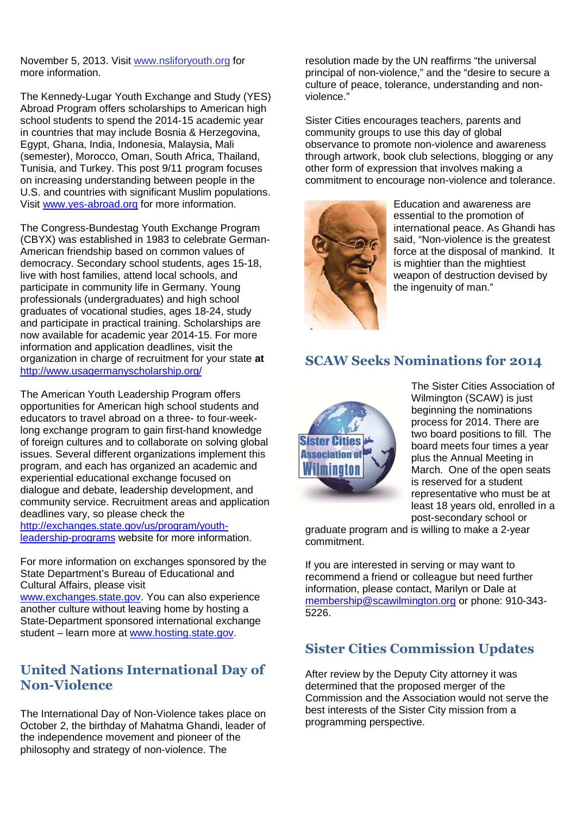November 5, 2013. Visit www.nsliforyouth.org for more information.

The Kennedy-Lugar Youth Exchange and Study (YES) Abroad Program offers scholarships to American high school students to spend the 2014-15 academic year in countries that may include Bosnia & Herzegovina, Egypt, Ghana, India, Indonesia, Malaysia, Mali (semester), Morocco, Oman, South Africa, Thailand, Tunisia, and Turkey. This post 9/11 program focuses on increasing understanding between people in the U.S. and countries with significant Muslim populations. Visit www.yes-abroad.org for more information.

The Congress-Bundestag Youth Exchange Program (CBYX) was established in 1983 to celebrate German-American friendship based on common values of democracy. Secondary school students, ages 15-18, live with host families, attend local schools, and participate in community life in Germany. Young professionals (undergraduates) and high school graduates of vocational studies, ages 18-24, study and participate in practical training. Scholarships are now available for academic year 2014-15. For more information and application deadlines, visit the organization in charge of recruitment for your state **at**  http://www.usagermanyscholarship.org/

The American Youth Leadership Program offers opportunities for American high school students and educators to travel abroad on a three- to four-weeklong exchange program to gain first-hand knowledge of foreign cultures and to collaborate on solving global issues. Several different organizations implement this program, and each has organized an academic and experiential educational exchange focused on dialogue and debate, leadership development, and community service. Recruitment areas and application deadlines vary, so please check the http://exchanges.state.gov/us/program/youthleadership-programs website for more information.

For more information on exchanges sponsored by the State Department's Bureau of Educational and Cultural Affairs, please visit www.exchanges.state.gov. You can also experience another culture without leaving home by hosting a State-Department sponsored international exchange student – learn more at www.hosting.state.gov.

# **United Nations International Day of Non-Violence**

The International Day of Non-Violence takes place on October 2, the birthday of Mahatma Ghandi, leader of the independence movement and pioneer of the philosophy and strategy of non-violence. The

resolution made by the UN reaffirms "the universal principal of non-violence," and the "desire to secure a culture of peace, tolerance, understanding and nonviolence."

Sister Cities encourages teachers, parents and community groups to use this day of global observance to promote non-violence and awareness through artwork, book club selections, blogging or any other form of expression that involves making a commitment to encourage non-violence and tolerance.



Education and awareness are essential to the promotion of international peace. As Ghandi has said, "Non-violence is the greatest force at the disposal of mankind. It is mightier than the mightiest weapon of destruction devised by the ingenuity of man."

## **SCAW Seeks Nominations for 2014**



The Sister Cities Association of Wilmington (SCAW) is just beginning the nominations process for 2014. There are two board positions to fill. The board meets four times a year plus the Annual Meeting in March. One of the open seats is reserved for a student representative who must be at least 18 years old, enrolled in a post-secondary school or

graduate program and is willing to make a 2-year commitment.

If you are interested in serving or may want to recommend a friend or colleague but need further information, please contact, Marilyn or Dale at membership@scawilmington.org or phone: 910-343- 5226.

## **Sister Cities Commission Updates**

After review by the Deputy City attorney it was determined that the proposed merger of the Commission and the Association would not serve the best interests of the Sister City mission from a programming perspective.